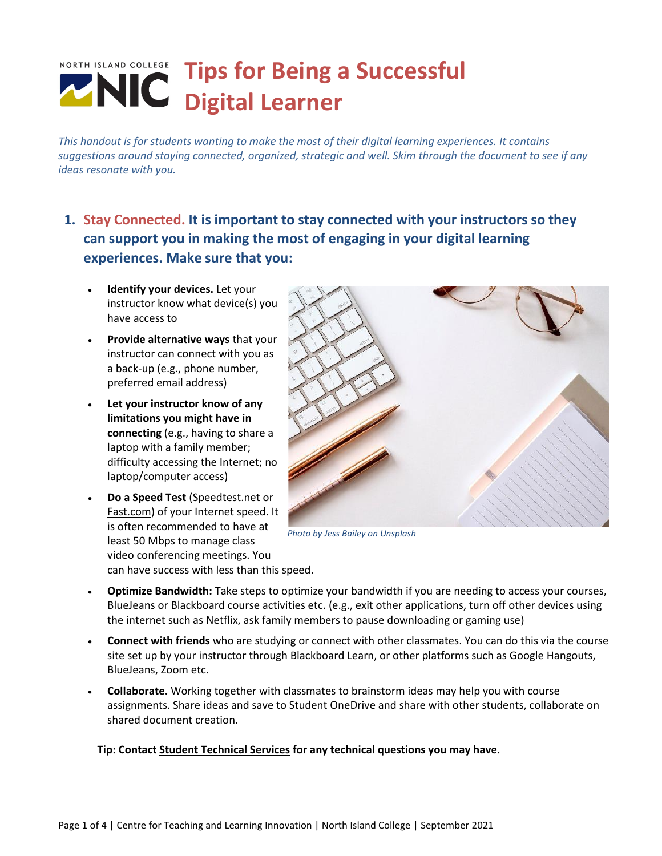## **Tips for Being a Successful Digital Learner**

*This handout is for students wanting to make the most of their digital learning experiences. It contains suggestions around staying connected, organized, strategic and well. Skim through the document to see if any ideas resonate with you.*

- **1. Stay Connected. It is important to stay connected with your instructors so they can support you in making the most of engaging in your digital learning experiences. Make sure that you:** 
	- **Identify your devices.** Let your instructor know what device(s) you have access to
	- **Provide alternative ways** that your instructor can connect with you as a back-up (e.g., phone number, preferred email address)
	- **Let your instructor know of any limitations you might have in connecting** (e.g., having to share a laptop with a family member; difficulty accessing the Internet; no laptop/computer access)
	- **Do a Speed Test** [\(Speedtest.net](https://www.speedtest.net/) or [Fast.com\)](https://fast.com/) of your Internet speed. It is often recommended to have at least 50 Mbps to manage class video conferencing meetings. You can have success with less than this speed.

*Photo by Jess Bailey on Unsplash*

- **Optimize Bandwidth:** Take steps to optimize your bandwidth if you are needing to access your courses, BlueJeans or Blackboard course activities etc. (e.g., exit other applications, turn off other devices using the internet such as Netflix, ask family members to pause downloading or gaming use)
- **Connect with friends** who are studying or connect with other classmates. You can do this via the course site set up by your instructor through Blackboard Learn, or other platforms such as [Google Hangouts,](https://hangouts.google.com/) BlueJeans, Zoom etc.
- **Collaborate.** Working together with classmates to brainstorm ideas may help you with course assignments. Share ideas and save to Student OneDrive and share with other students, collaborate on shared document creation.

**Tip: Contact [Student Technical Services](https://library.nic.bc.ca/studenttech/Contact) for any technical questions you may have.**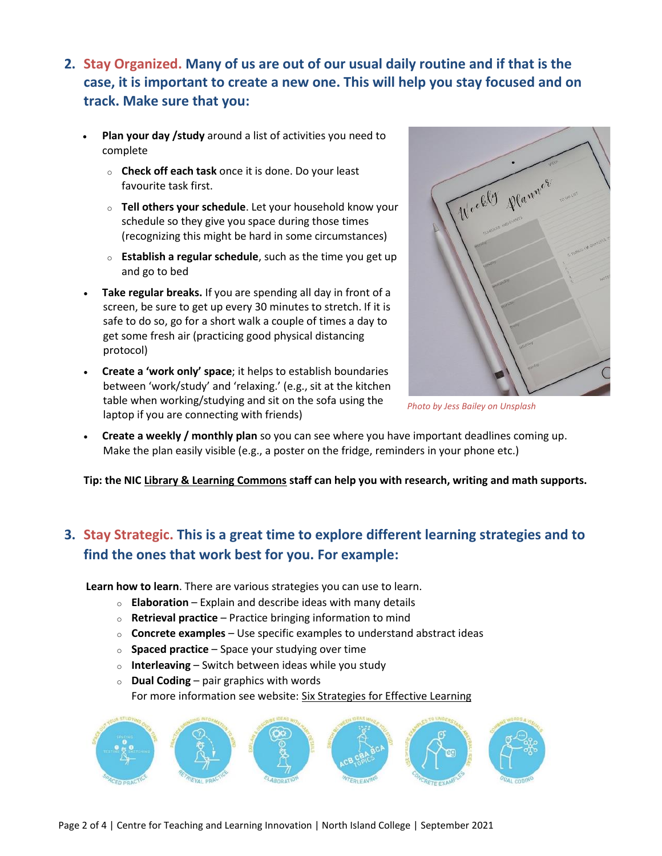## **2. Stay Organized. Many of us are out of our usual daily routine and if that is the case, it is important to create a new one. This will help you stay focused and on track. Make sure that you:**

- **Plan your day /study** around a list of activities you need to complete
	- o **Check off each task** once it is done. Do your least favourite task first.
	- o **Tell others your schedule**. Let your household know your schedule so they give you space during those times (recognizing this might be hard in some circumstances)
	- o **Establish a regular schedule**, such as the time you get up and go to bed
- **Take regular breaks.** If you are spending all day in front of a screen, be sure to get up every 30 minutes to stretch. If it is safe to do so, go for a short walk a couple of times a day to get some fresh air (practicing good physical distancing protocol)
- **Create a 'work only' space**; it helps to establish boundaries between 'work/study' and 'relaxing.' (e.g., sit at the kitchen table when working/studying and sit on the sofa using the laptop if you are connecting with friends)



*Photo by Jess Bailey on Unsplash*

• **Create a weekly / monthly plan** so you can see where you have important deadlines coming up. Make the plan easily visible (e.g., a poster on the fridge, reminders in your phone etc.)

**Tip: the NIC [Library & Learning Commons](https://library.nic.bc.ca/home) staff can help you with research, writing and math supports.**

## **3. Stay Strategic. This is a great time to explore different learning strategies and to find the ones that work best for you. For example:**

**Learn how to learn**. There are various strategies you can use to learn.

- o **Elaboration** Explain and describe ideas with many details
- o **Retrieval practice** Practice bringing information to mind
- o **Concrete examples** Use specific examples to understand abstract ideas
- o **Spaced practice** Space your studying over time
- o **Interleaving** Switch between ideas while you study
- o **Dual Coding** pair graphics with words

For more information see website: [Six Strategies for Effective Learning](https://www.learningscientists.org/downloadable-materials)

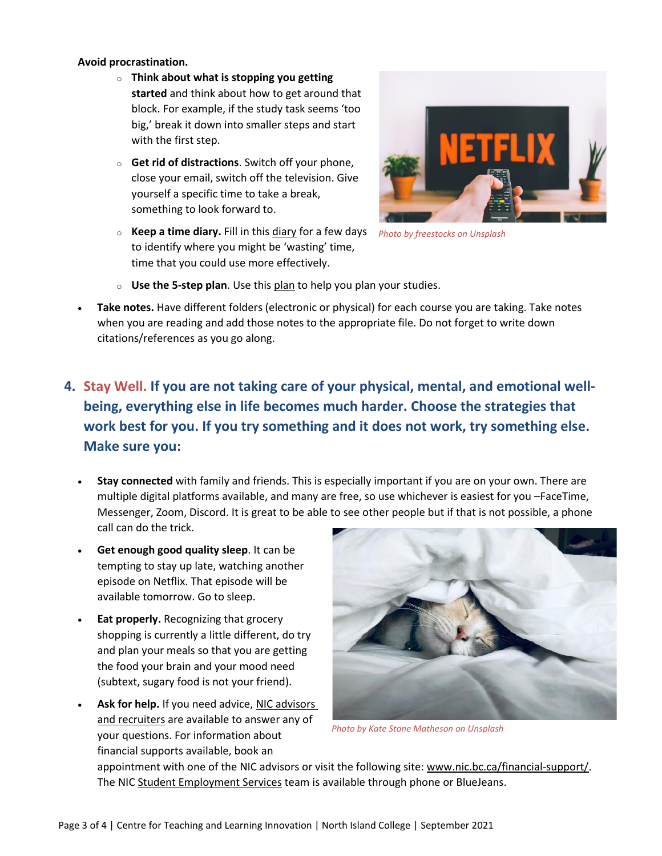## **Avoid procrastination.**

- o **Think about what is stopping you getting started** and think about how to get around that block. For example, if the study task seems 'too big,' break it down into smaller steps and start with the first step.
- o **Get rid of distractions**. Switch off your phone, close your email, switch off the television. Give yourself a specific time to take a break, something to look forward to.
- o **Keep a time diary.** Fill in this [diary](http://www.learnhigher.ac.uk/wp-content/uploads/time_use_diary.pdf) for a few days *Photo by freestocks on Unsplash* to identify where you might be 'wasting' time, time that you could use more effectively.



- o **Use the 5-step plan**. Use this [plan](http://www.learnhigher.ac.uk/learning-at-university/time-management/the-5-step-plan/) to help you plan your studies.
- • **Take notes.** Have different folders (electronic or physical) for each course you are taking. Take notes when you are reading and add those notes to the appropriate file. Do not forget to write down citations/references as you go along.
- **4. Stay Well. If you are not taking care of your physical, mental, and emotional wellbeing, everything else in life becomes much harder. Choose the strategies that work best for you. If you try something and it does not work, try something else. Make sure you:** 
	- **Stay connected** with family and friends. This is especially important if you are on your own. There are multiple digital platforms available, and many are free, so use whichever is easiest for you –FaceTime, Messenger, Zoom, Discord. It is great to be able to see other people but if that is not possible, a phone call can do the trick.
	- **Get enough good quality sleep**. It can be tempting to stay up late, watching another episode on Netflix. That episode will be available tomorrow. Go to sleep.
	- **Eat properly.** Recognizing that grocery shopping is currently a little different, do try and plan your meals so that you are getting the food your brain and your mood need (subtext, sugary food is not your friend).
	- **Ask for help.** If you need advice[, NIC advisors](https://outlook.office365.com/owa/calendar/NICEnrollmentServicesAdvising@nic.bc.ca/bookings/)  [and recruiters](https://outlook.office365.com/owa/calendar/NICEnrollmentServicesAdvising@nic.bc.ca/bookings/) are available to answer any of your questions. For information about financial supports available, book an



*Photo by Kate Stone Matheson on Unsplash*

appointment with one of the NIC advisors or visit the following site: [www.nic.bc.ca/financial-support/.](http://www.nic.bc.ca/financial-support/) The NIC [Student Employment Services](https://careercentral.nic.bc.ca/home.htm) team is available through phone or BlueJeans.